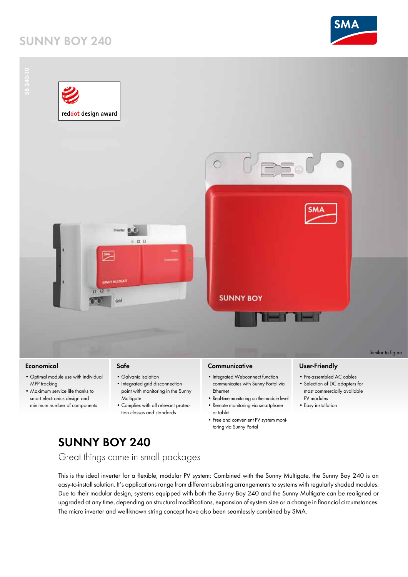# **sunny boy 240**





#### **Economical**

- • Optimal module use with individual MPP tracking
- • Maximum service life thanks to smart electronics design and minimum number of components

## **Safe**

- Galvanic isolation • Integrated grid disconnection
	- point with monitoring in the Sunny **Multigate**
	- • Complies with all relevant protection classes and standards

### **Communicative**

- Integrated Webconnect function communicates with Sunny Portal via Ethernet
- Real-time monitoring on the module level
- Remote monitoring via smartphone
- or tablet • Free and convenient PV system moni-
- toring via Sunny Portal

## **User-Friendly**

- Pre-assembled AC cables
- • Selection of DC adapters for most commercially available PV modules
- • Easy installation

# **sunny boy 240**

Great things come in small packages

This is the ideal inverter for a flexible, modular PV system: Combined with the Sunny Multigate, the Sunny Boy 240 is an easy-to-install solution. It's applications range from different substring arrangements to systems with regularly shaded modules. Due to their modular design, systems equipped with both the Sunny Boy 240 and the Sunny Multigate can be realigned or upgraded at any time, depending on structural modifications, expansion of system size or a change in financial circumstances. The micro inverter and well-known string concept have also been seamlessly combined by SMA.